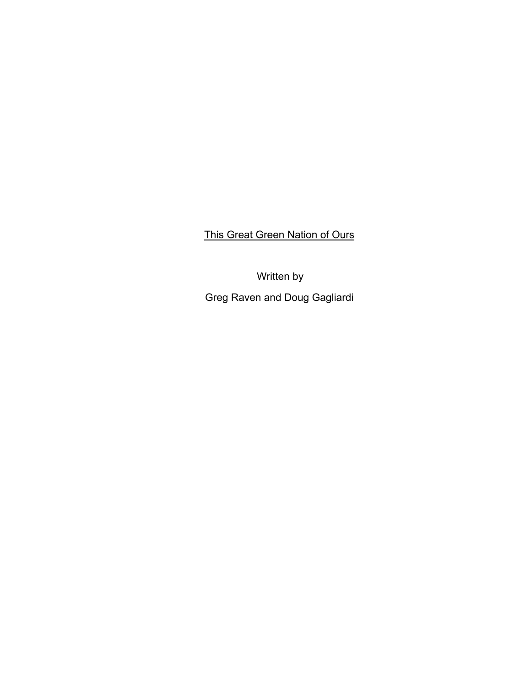This Great Green Nation of Ours

Written by Greg Raven and Doug Gagliardi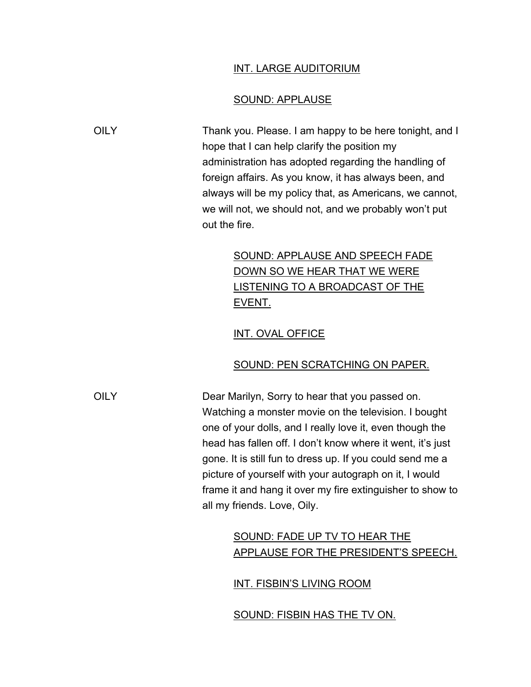#### INT. LARGE AUDITORIUM

#### SOUND: APPLAUSE

OILY Thank you. Please. I am happy to be here tonight, and I hope that I can help clarify the position my administration has adopted regarding the handling of foreign affairs. As you know, it has always been, and always will be my policy that, as Americans, we cannot, we will not, we should not, and we probably won't put out the fire.

# SOUND: APPLAUSE AND SPEECH FADE DOWN SO WE HEAR THAT WE WERE LISTENING TO A BROADCAST OF THE EVENT.

### INT. OVAL OFFICE

### SOUND: PEN SCRATCHING ON PAPER.

OILY Dear Marilyn, Sorry to hear that you passed on. Watching a monster movie on the television. I bought one of your dolls, and I really love it, even though the head has fallen off. I don't know where it went, it's just gone. It is still fun to dress up. If you could send me a picture of yourself with your autograph on it, I would frame it and hang it over my fire extinguisher to show to all my friends. Love, Oily.

# SOUND: FADE UP TV TO HEAR THE APPLAUSE FOR THE PRESIDENT'S SPEECH.

### INT. FISBIN'S LIVING ROOM

SOUND: FISBIN HAS THE TV ON.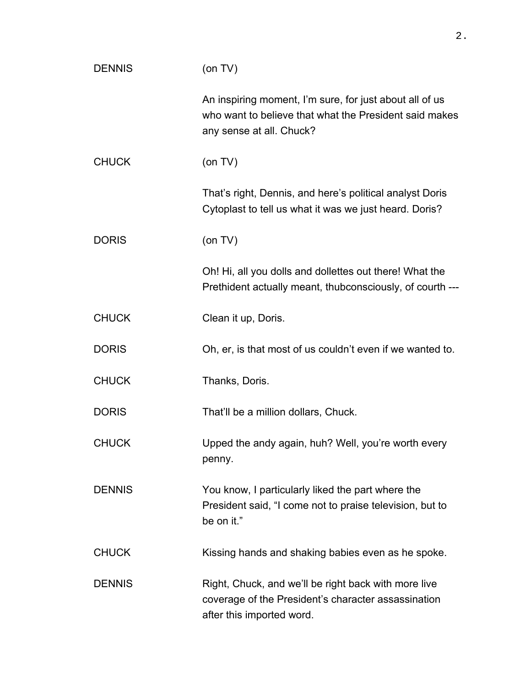| <b>DENNIS</b> | (on TV)                                                                                                                                       |
|---------------|-----------------------------------------------------------------------------------------------------------------------------------------------|
|               | An inspiring moment, I'm sure, for just about all of us<br>who want to believe that what the President said makes<br>any sense at all. Chuck? |
| <b>CHUCK</b>  | (on TV)                                                                                                                                       |
|               | That's right, Dennis, and here's political analyst Doris<br>Cytoplast to tell us what it was we just heard. Doris?                            |
| <b>DORIS</b>  | (on TV)                                                                                                                                       |
|               | Oh! Hi, all you dolls and dollettes out there! What the<br>Prethident actually meant, thubconsciously, of courth ---                          |
| <b>CHUCK</b>  | Clean it up, Doris.                                                                                                                           |
| <b>DORIS</b>  | Oh, er, is that most of us couldn't even if we wanted to.                                                                                     |
| <b>CHUCK</b>  | Thanks, Doris.                                                                                                                                |
| <b>DORIS</b>  | That'll be a million dollars, Chuck.                                                                                                          |
| <b>CHUCK</b>  | Upped the andy again, huh? Well, you're worth every<br>penny.                                                                                 |
| <b>DENNIS</b> | You know, I particularly liked the part where the<br>President said, "I come not to praise television, but to<br>be on it."                   |
| <b>CHUCK</b>  | Kissing hands and shaking babies even as he spoke.                                                                                            |
| <b>DENNIS</b> | Right, Chuck, and we'll be right back with more live<br>coverage of the President's character assassination<br>after this imported word.      |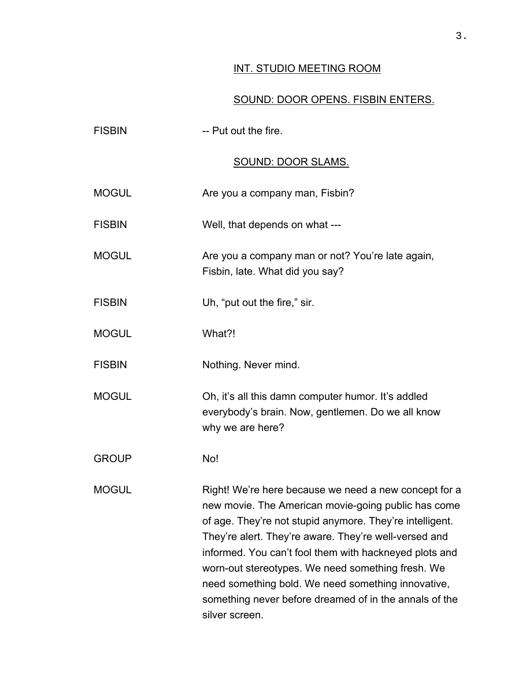## INT. STUDIO MEETING ROOM

## SOUND: DOOR OPENS. FISBIN ENTERS.

| <b>FISBIN</b> | -- Put out the fire.                                                                                                                                                                                                                                                                                                                                                                                                                                                               |
|---------------|------------------------------------------------------------------------------------------------------------------------------------------------------------------------------------------------------------------------------------------------------------------------------------------------------------------------------------------------------------------------------------------------------------------------------------------------------------------------------------|
|               | <b>SOUND: DOOR SLAMS.</b>                                                                                                                                                                                                                                                                                                                                                                                                                                                          |
| <b>MOGUL</b>  | Are you a company man, Fisbin?                                                                                                                                                                                                                                                                                                                                                                                                                                                     |
| <b>FISBIN</b> | Well, that depends on what ---                                                                                                                                                                                                                                                                                                                                                                                                                                                     |
| <b>MOGUL</b>  | Are you a company man or not? You're late again,<br>Fisbin, late. What did you say?                                                                                                                                                                                                                                                                                                                                                                                                |
| <b>FISBIN</b> | Uh, "put out the fire," sir.                                                                                                                                                                                                                                                                                                                                                                                                                                                       |
| <b>MOGUL</b>  | What?!                                                                                                                                                                                                                                                                                                                                                                                                                                                                             |
| <b>FISBIN</b> | Nothing. Never mind.                                                                                                                                                                                                                                                                                                                                                                                                                                                               |
| <b>MOGUL</b>  | Oh, it's all this damn computer humor. It's addled<br>everybody's brain. Now, gentlemen. Do we all know<br>why we are here?                                                                                                                                                                                                                                                                                                                                                        |
| <b>GROUP</b>  | No!                                                                                                                                                                                                                                                                                                                                                                                                                                                                                |
| <b>MOGUL</b>  | Right! We're here because we need a new concept for a<br>new movie. The American movie-going public has come<br>of age. They're not stupid anymore. They're intelligent.<br>They're alert. They're aware. They're well-versed and<br>informed. You can't fool them with hackneyed plots and<br>worn-out stereotypes. We need something fresh. We<br>need something bold. We need something innovative,<br>something never before dreamed of in the annals of the<br>silver screen. |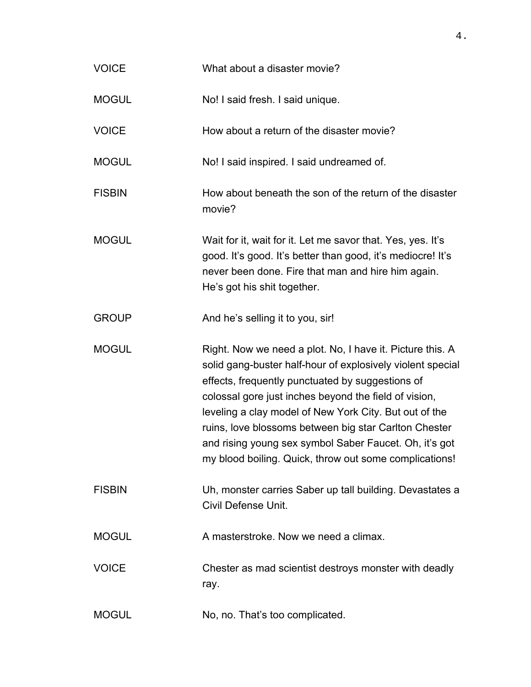| <b>VOICE</b>  | What about a disaster movie?                                                                                                                                                                                                                                                                                                                                                                                                                                                |
|---------------|-----------------------------------------------------------------------------------------------------------------------------------------------------------------------------------------------------------------------------------------------------------------------------------------------------------------------------------------------------------------------------------------------------------------------------------------------------------------------------|
| <b>MOGUL</b>  | No! I said fresh. I said unique.                                                                                                                                                                                                                                                                                                                                                                                                                                            |
| <b>VOICE</b>  | How about a return of the disaster movie?                                                                                                                                                                                                                                                                                                                                                                                                                                   |
| <b>MOGUL</b>  | No! I said inspired. I said undreamed of.                                                                                                                                                                                                                                                                                                                                                                                                                                   |
| <b>FISBIN</b> | How about beneath the son of the return of the disaster<br>movie?                                                                                                                                                                                                                                                                                                                                                                                                           |
| <b>MOGUL</b>  | Wait for it, wait for it. Let me savor that. Yes, yes. It's<br>good. It's good. It's better than good, it's mediocre! It's<br>never been done. Fire that man and hire him again.<br>He's got his shit together.                                                                                                                                                                                                                                                             |
| <b>GROUP</b>  | And he's selling it to you, sir!                                                                                                                                                                                                                                                                                                                                                                                                                                            |
| <b>MOGUL</b>  | Right. Now we need a plot. No, I have it. Picture this. A<br>solid gang-buster half-hour of explosively violent special<br>effects, frequently punctuated by suggestions of<br>colossal gore just inches beyond the field of vision,<br>leveling a clay model of New York City. But out of the<br>ruins, love blossoms between big star Carlton Chester<br>and rising young sex symbol Saber Faucet. Oh, it's got<br>my blood boiling. Quick, throw out some complications! |
| <b>FISBIN</b> | Uh, monster carries Saber up tall building. Devastates a<br>Civil Defense Unit.                                                                                                                                                                                                                                                                                                                                                                                             |
| <b>MOGUL</b>  | A masterstroke. Now we need a climax.                                                                                                                                                                                                                                                                                                                                                                                                                                       |
| <b>VOICE</b>  | Chester as mad scientist destroys monster with deadly<br>ray.                                                                                                                                                                                                                                                                                                                                                                                                               |
| <b>MOGUL</b>  | No, no. That's too complicated.                                                                                                                                                                                                                                                                                                                                                                                                                                             |

4.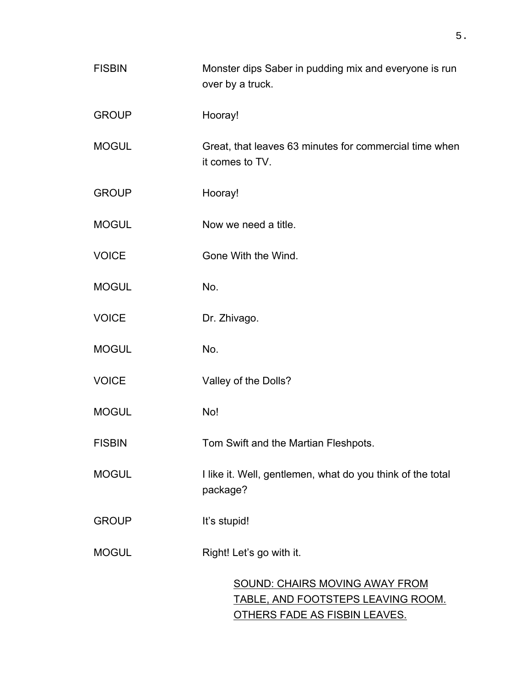| <b>FISBIN</b> | Monster dips Saber in pudding mix and everyone is run<br>over by a truck.          |
|---------------|------------------------------------------------------------------------------------|
| <b>GROUP</b>  | Hooray!                                                                            |
| <b>MOGUL</b>  | Great, that leaves 63 minutes for commercial time when<br>it comes to TV.          |
| <b>GROUP</b>  | Hooray!                                                                            |
| <b>MOGUL</b>  | Now we need a title.                                                               |
| <b>VOICE</b>  | Gone With the Wind.                                                                |
| <b>MOGUL</b>  | No.                                                                                |
| <b>VOICE</b>  | Dr. Zhivago.                                                                       |
| <b>MOGUL</b>  | No.                                                                                |
| <b>VOICE</b>  | Valley of the Dolls?                                                               |
| <b>MOGUL</b>  | No!                                                                                |
| <b>FISBIN</b> | Tom Swift and the Martian Fleshpots.                                               |
| <b>MOGUL</b>  | I like it. Well, gentlemen, what do you think of the total<br>package?             |
| <b>GROUP</b>  | It's stupid!                                                                       |
| <b>MOGUL</b>  | Right! Let's go with it.                                                           |
|               | <b>SOUND: CHAIRS MOVING AWAY FROM</b><br><b>TABLE, AND FOOTSTEPS LEAVING ROOM.</b> |

OTHERS FADE AS FISBIN LEAVES.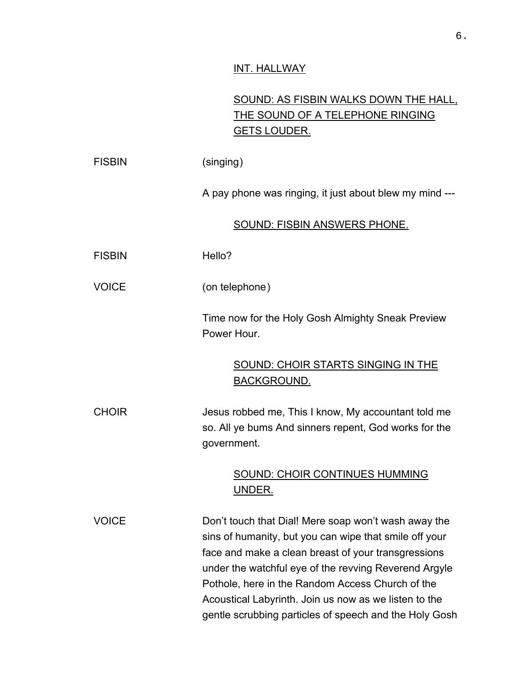## INT. HALLWAY

# SOUND: AS FISBIN WALKS DOWN THE HALL, THE SOUND OF A TELEPHONE RINGING GETS LOUDER.

| <b>FISBIN</b> | (singing)                                                                                                                                                                                                                                                                                                                                                                                             |
|---------------|-------------------------------------------------------------------------------------------------------------------------------------------------------------------------------------------------------------------------------------------------------------------------------------------------------------------------------------------------------------------------------------------------------|
|               | A pay phone was ringing, it just about blew my mind ---                                                                                                                                                                                                                                                                                                                                               |
|               | SOUND: FISBIN ANSWERS PHONE.                                                                                                                                                                                                                                                                                                                                                                          |
| <b>FISBIN</b> | Hello?                                                                                                                                                                                                                                                                                                                                                                                                |
| <b>VOICE</b>  | (on telephone)                                                                                                                                                                                                                                                                                                                                                                                        |
|               | Time now for the Holy Gosh Almighty Sneak Preview<br>Power Hour.                                                                                                                                                                                                                                                                                                                                      |
|               | SOUND: CHOIR STARTS SINGING IN THE<br>BACKGROUND.                                                                                                                                                                                                                                                                                                                                                     |
| <b>CHOIR</b>  | Jesus robbed me, This I know, My accountant told me<br>so. All ye bums And sinners repent, God works for the<br>government.                                                                                                                                                                                                                                                                           |
|               | <b>SOUND: CHOIR CONTINUES HUMMING</b><br><u>UNDER.</u>                                                                                                                                                                                                                                                                                                                                                |
| <b>VOICE</b>  | Don't touch that Dial! Mere soap won't wash away the<br>sins of humanity, but you can wipe that smile off your<br>face and make a clean breast of your transgressions<br>under the watchful eye of the revving Reverend Argyle<br>Pothole, here in the Random Access Church of the<br>Acoustical Labyrinth. Join us now as we listen to the<br>gentle scrubbing particles of speech and the Holy Gosh |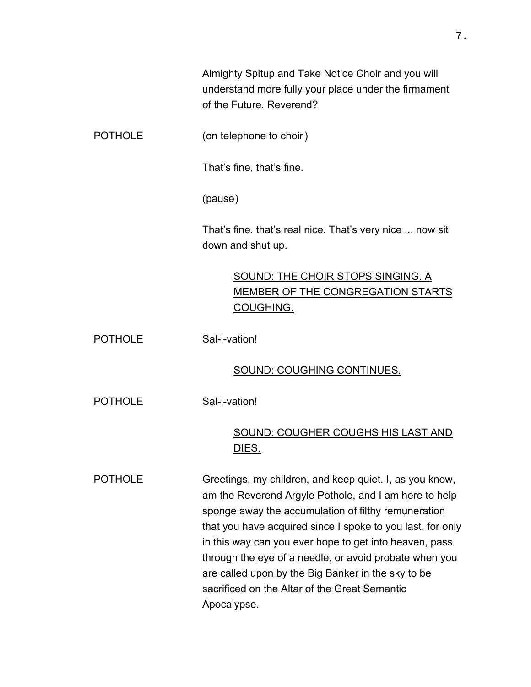Almighty Spitup and Take Notice Choir and you will understand more fully your place under the firmament of the Future. Reverend?

POTHOLE (on telephone to choir)

That's fine, that's fine.

(pause)

That's fine, that's real nice. That's very nice ... now sit down and shut up.

# SOUND: THE CHOIR STOPS SINGING. A MEMBER OF THE CONGREGATION STARTS COUGHING.

POTHOLE Sal-i-vation!

### SOUND: COUGHING CONTINUES.

POTHOLE Sal-i-vation!

## SOUND: COUGHER COUGHS HIS LAST AND DIES.

POTHOLE Greetings, my children, and keep quiet. I, as you know, am the Reverend Argyle Pothole, and I am here to help sponge away the accumulation of filthy remuneration that you have acquired since I spoke to you last, for only in this way can you ever hope to get into heaven, pass through the eye of a needle, or avoid probate when you are called upon by the Big Banker in the sky to be sacrificed on the Altar of the Great Semantic Apocalypse.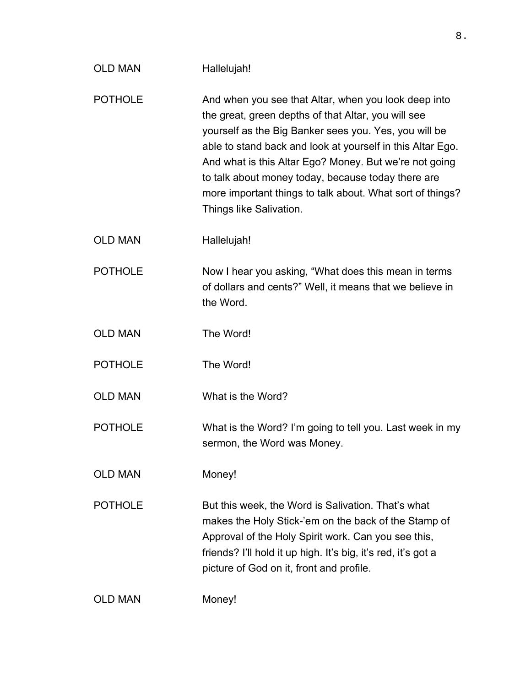| <b>OLD MAN</b> | Hallelujah!                                                                                                                                                                                                                                                                                                                                                                                                                                |
|----------------|--------------------------------------------------------------------------------------------------------------------------------------------------------------------------------------------------------------------------------------------------------------------------------------------------------------------------------------------------------------------------------------------------------------------------------------------|
| <b>POTHOLE</b> | And when you see that Altar, when you look deep into<br>the great, green depths of that Altar, you will see<br>yourself as the Big Banker sees you. Yes, you will be<br>able to stand back and look at yourself in this Altar Ego.<br>And what is this Altar Ego? Money. But we're not going<br>to talk about money today, because today there are<br>more important things to talk about. What sort of things?<br>Things like Salivation. |
| <b>OLD MAN</b> | Hallelujah!                                                                                                                                                                                                                                                                                                                                                                                                                                |
| <b>POTHOLE</b> | Now I hear you asking, "What does this mean in terms<br>of dollars and cents?" Well, it means that we believe in<br>the Word.                                                                                                                                                                                                                                                                                                              |
| <b>OLD MAN</b> | The Word!                                                                                                                                                                                                                                                                                                                                                                                                                                  |
| <b>POTHOLE</b> | The Word!                                                                                                                                                                                                                                                                                                                                                                                                                                  |
| <b>OLD MAN</b> | What is the Word?                                                                                                                                                                                                                                                                                                                                                                                                                          |
| <b>POTHOLE</b> | What is the Word? I'm going to tell you. Last week in my<br>sermon, the Word was Money.                                                                                                                                                                                                                                                                                                                                                    |
| <b>OLD MAN</b> | Money!                                                                                                                                                                                                                                                                                                                                                                                                                                     |
| <b>POTHOLE</b> | But this week, the Word is Salivation. That's what<br>makes the Holy Stick-'em on the back of the Stamp of<br>Approval of the Holy Spirit work. Can you see this,<br>friends? I'll hold it up high. It's big, it's red, it's got a<br>picture of God on it, front and profile.                                                                                                                                                             |
| <b>OLD MAN</b> | Money!                                                                                                                                                                                                                                                                                                                                                                                                                                     |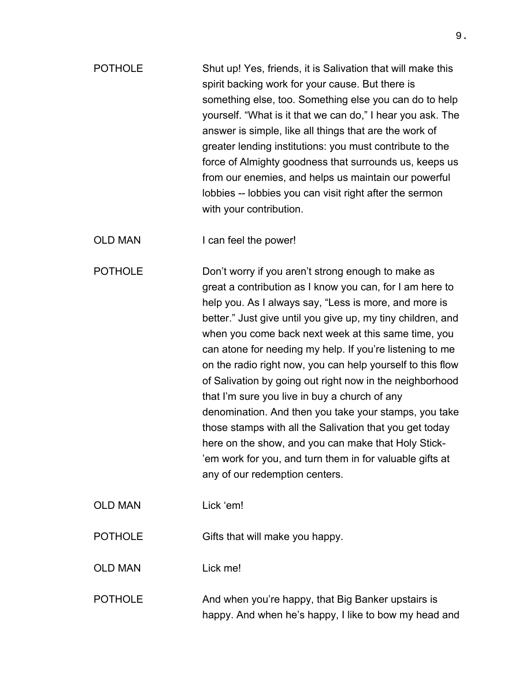POTHOLE Shut up! Yes, friends, it is Salivation that will make this spirit backing work for your cause. But there is something else, too. Something else you can do to help yourself. "What is it that we can do," I hear you ask. The answer is simple, like all things that are the work of greater lending institutions: you must contribute to the force of Almighty goodness that surrounds us, keeps us from our enemies, and helps us maintain our powerful lobbies -- lobbies you can visit right after the sermon with your contribution.

OLD MAN I can feel the power!

POTHOLE Don't worry if you aren't strong enough to make as great a contribution as I know you can, for I am here to help you. As I always say, "Less is more, and more is better." Just give until you give up, my tiny children, and when you come back next week at this same time, you can atone for needing my help. If you're listening to me on the radio right now, you can help yourself to this flow of Salivation by going out right now in the neighborhood that I'm sure you live in buy a church of any denomination. And then you take your stamps, you take those stamps with all the Salivation that you get today here on the show, and you can make that Holy Stick- 'em work for you, and turn them in for valuable gifts at any of our redemption centers.

OLD MAN Lick 'em!

POTHOLE Gifts that will make you happy.

OLD MAN Lick me!

POTHOLE And when you're happy, that Big Banker upstairs is happy. And when he's happy, I like to bow my head and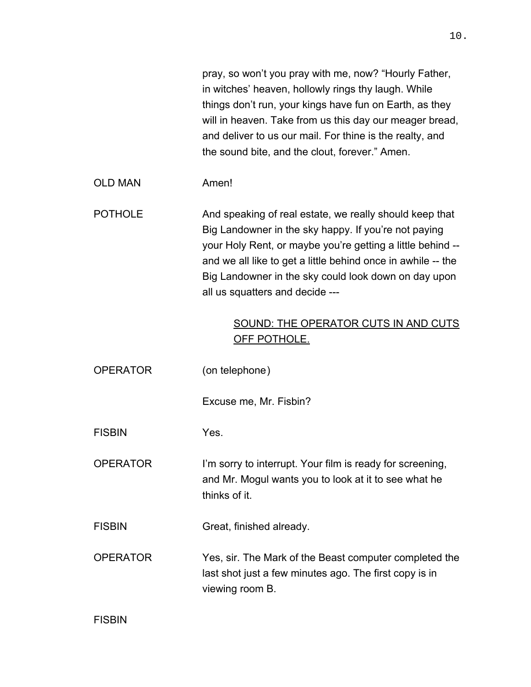pray, so won't you pray with me, now? "Hourly Father, in witches' heaven, hollowly rings thy laugh. While things don't run, your kings have fun on Earth, as they will in heaven. Take from us this day our meager bread, and deliver to us our mail. For thine is the realty, and the sound bite, and the clout, forever." Amen. OLD MAN Amen! POTHOLE And speaking of real estate, we really should keep that Big Landowner in the sky happy. If you're not paying your Holy Rent, or maybe you're getting a little behind - and we all like to get a little behind once in awhile -- the Big Landowner in the sky could look down on day upon all us squatters and decide --- SOUND: THE OPERATOR CUTS IN AND CUTS OFF POTHOLE. OPERATOR (on telephone) Excuse me, Mr. Fisbin? FISBIN Yes. OPERATOR I'm sorry to interrupt. Your film is ready for screening, and Mr. Mogul wants you to look at it to see what he thinks of it. FISBIN Great, finished already. OPERATOR Yes, sir. The Mark of the Beast computer completed the last shot just a few minutes ago. The first copy is in viewing room B.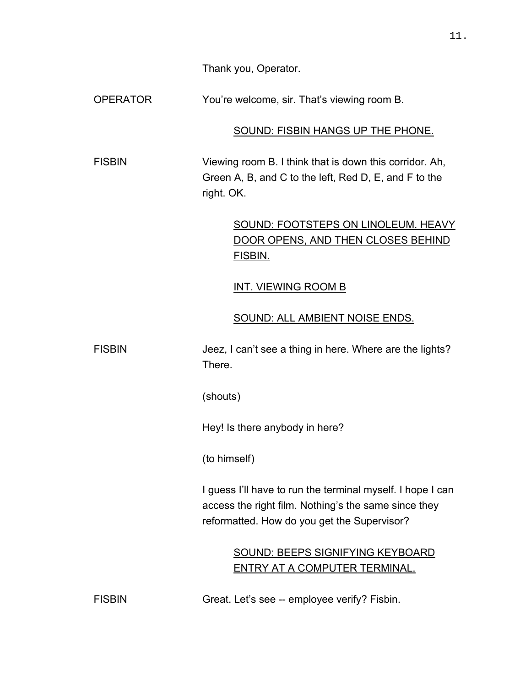Thank you, Operator.

OPERATOR You're welcome, sir. That's viewing room B.

## SOUND: FISBIN HANGS UP THE PHONE.

FISBIN Viewing room B. I think that is down this corridor. Ah, Green A, B, and C to the left, Red D, E, and F to the right. OK.

> SOUND: FOOTSTEPS ON LINOLEUM. HEAVY DOOR OPENS, AND THEN CLOSES BEHIND FISBIN.

## INT. VIEWING ROOM B

## SOUND: ALL AMBIENT NOISE ENDS.

FISBIN Jeez, I can't see a thing in here. Where are the lights? There.

(shouts)

Hey! Is there anybody in here?

(to himself)

I guess I'll have to run the terminal myself. I hope I can access the right film. Nothing's the same since they reformatted. How do you get the Supervisor?

> SOUND: BEEPS SIGNIFYING KEYBOARD ENTRY AT A COMPUTER TERMINAL.

FISBIN Great. Let's see -- employee verify? Fisbin.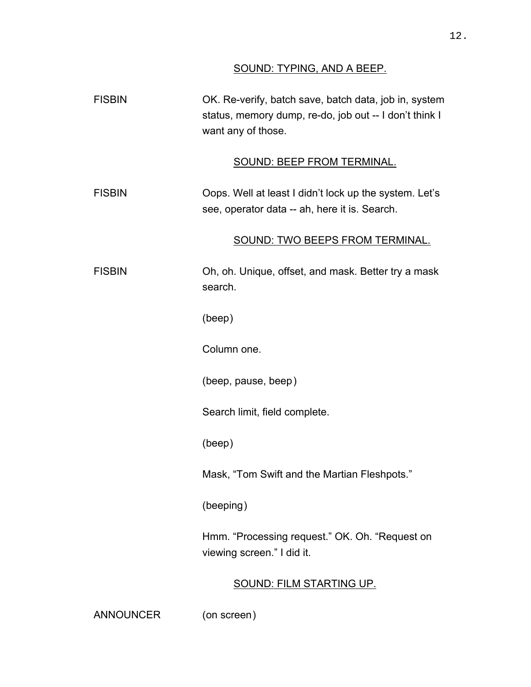## SOUND: TYPING, AND A BEEP.

| <b>FISBIN</b> | OK. Re-verify, batch save, batch data, job in, system<br>status, memory dump, re-do, job out -- I don't think I<br>want any of those. |
|---------------|---------------------------------------------------------------------------------------------------------------------------------------|
|               | <b>SOUND: BEEP FROM TERMINAL.</b>                                                                                                     |
| <b>FISBIN</b> | Oops. Well at least I didn't lock up the system. Let's<br>see, operator data -- ah, here it is. Search.                               |
|               | SOUND: TWO BEEPS FROM TERMINAL.                                                                                                       |
| <b>FISBIN</b> | Oh, oh. Unique, offset, and mask. Better try a mask<br>search.                                                                        |
|               | (beep)                                                                                                                                |
|               | Column one.                                                                                                                           |
|               | (beep, pause, beep)                                                                                                                   |
|               | Search limit, field complete.                                                                                                         |
|               | (beep)                                                                                                                                |
|               | Mask, "Tom Swift and the Martian Fleshpots."                                                                                          |
|               | (beeping)                                                                                                                             |
|               | Hmm. "Processing request." OK. Oh. "Request on<br>viewing screen." I did it.                                                          |
|               | <u>SOUND: FILM STARTING UP.</u>                                                                                                       |

ANNOUNCER (on screen)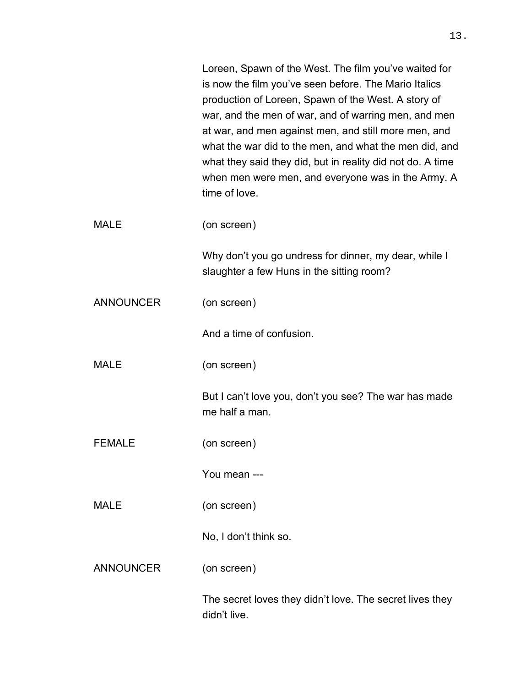|                  | Loreen, Spawn of the West. The film you've waited for<br>is now the film you've seen before. The Mario Italics<br>production of Loreen, Spawn of the West. A story of<br>war, and the men of war, and of warring men, and men<br>at war, and men against men, and still more men, and<br>what the war did to the men, and what the men did, and<br>what they said they did, but in reality did not do. A time<br>when men were men, and everyone was in the Army. A<br>time of love. |
|------------------|--------------------------------------------------------------------------------------------------------------------------------------------------------------------------------------------------------------------------------------------------------------------------------------------------------------------------------------------------------------------------------------------------------------------------------------------------------------------------------------|
| <b>MALE</b>      | (on screen)                                                                                                                                                                                                                                                                                                                                                                                                                                                                          |
|                  | Why don't you go undress for dinner, my dear, while I<br>slaughter a few Huns in the sitting room?                                                                                                                                                                                                                                                                                                                                                                                   |
| <b>ANNOUNCER</b> | (on screen)                                                                                                                                                                                                                                                                                                                                                                                                                                                                          |
|                  | And a time of confusion.                                                                                                                                                                                                                                                                                                                                                                                                                                                             |
| <b>MALE</b>      | (on screen)                                                                                                                                                                                                                                                                                                                                                                                                                                                                          |
|                  | But I can't love you, don't you see? The war has made<br>me half a man.                                                                                                                                                                                                                                                                                                                                                                                                              |
| <b>FEMALE</b>    | (on screen)                                                                                                                                                                                                                                                                                                                                                                                                                                                                          |
|                  | You mean ---                                                                                                                                                                                                                                                                                                                                                                                                                                                                         |
| <b>MALE</b>      | (on screen)                                                                                                                                                                                                                                                                                                                                                                                                                                                                          |
|                  | No, I don't think so.                                                                                                                                                                                                                                                                                                                                                                                                                                                                |
| <b>ANNOUNCER</b> | (on screen)                                                                                                                                                                                                                                                                                                                                                                                                                                                                          |
|                  | The secret loves they didn't love. The secret lives they<br>didn't live.                                                                                                                                                                                                                                                                                                                                                                                                             |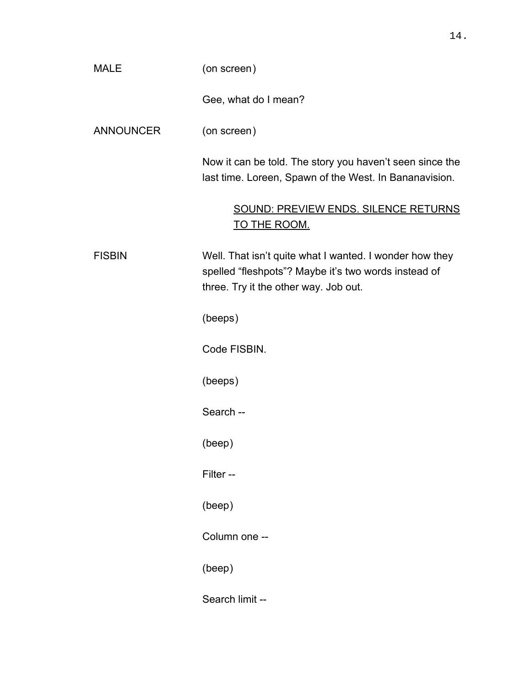| <b>MALE</b>      | (on screen)                                                                                                                                              |
|------------------|----------------------------------------------------------------------------------------------------------------------------------------------------------|
|                  | Gee, what do I mean?                                                                                                                                     |
| <b>ANNOUNCER</b> | (on screen)                                                                                                                                              |
|                  | Now it can be told. The story you haven't seen since the<br>last time. Loreen, Spawn of the West. In Bananavision.                                       |
|                  | SOUND: PREVIEW ENDS. SILENCE RETURNS<br><u>TO THE ROOM.</u>                                                                                              |
| <b>FISBIN</b>    | Well. That isn't quite what I wanted. I wonder how they<br>spelled "fleshpots"? Maybe it's two words instead of<br>three. Try it the other way. Job out. |
|                  | (beeps)                                                                                                                                                  |
|                  | Code FISBIN.                                                                                                                                             |
|                  | (beeps)                                                                                                                                                  |
|                  | Search --                                                                                                                                                |
|                  | (beep)                                                                                                                                                   |
|                  | Filter --                                                                                                                                                |
|                  | (beep)                                                                                                                                                   |
|                  | Column one --                                                                                                                                            |
|                  | (beep)                                                                                                                                                   |
|                  | Search limit --                                                                                                                                          |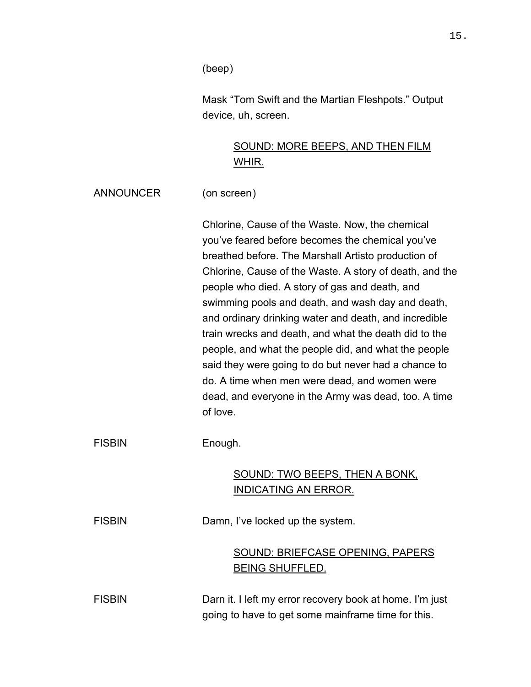(beep)

Mask "Tom Swift and the Martian Fleshpots." Output device, uh, screen.

# SOUND: MORE BEEPS, AND THEN FILM WHIR.

ANNOUNCER (on screen)

Chlorine, Cause of the Waste. Now, the chemical you've feared before becomes the chemical you've breathed before. The Marshall Artisto production of Chlorine, Cause of the Waste. A story of death, and the people who died. A story of gas and death, and swimming pools and death, and wash day and death, and ordinary drinking water and death, and incredible train wrecks and death, and what the death did to the people, and what the people did, and what the people said they were going to do but never had a chance to do. A time when men were dead, and women were dead, and everyone in the Army was dead, too. A time of love.

FISBIN Enough.

# SOUND: TWO BEEPS, THEN A BONK, INDICATING AN ERROR.

FISBIN Damn, I've locked up the system.

# SOUND: BRIEFCASE OPENING, PAPERS BEING SHUFFLED.

FISBIN Darn it. I left my error recovery book at home. I'm just going to have to get some mainframe time for this.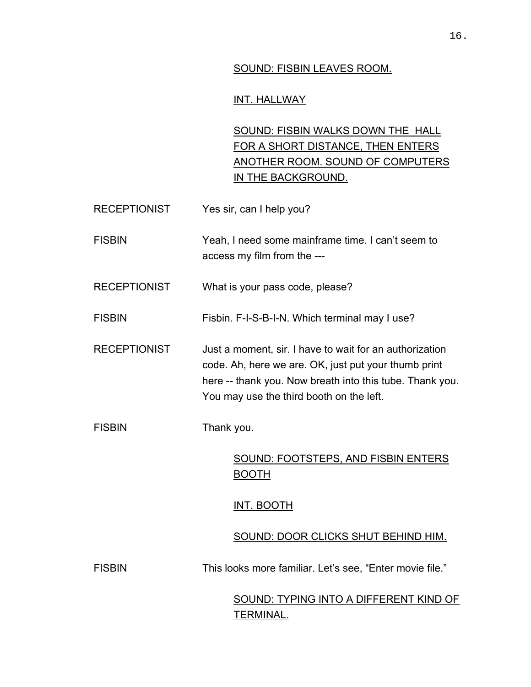### SOUND: FISBIN LEAVES ROOM.

## INT. HALLWAY

SOUND: FISBIN WALKS DOWN THE HALL FOR A SHORT DISTANCE, THEN ENTERS ANOTHER ROOM. SOUND OF COMPUTERS IN THE BACKGROUND.

| <b>RECEPTIONIST</b> | Yes sir, can I help you? |
|---------------------|--------------------------|
|---------------------|--------------------------|

FISBIN Yeah, I need some mainframe time. I can't seem to access my film from the ---

RECEPTIONIST What is your pass code, please?

FISBIN Fisbin. F-I-S-B-I-N. Which terminal may I use?

RECEPTIONIST Just a moment, sir. I have to wait for an authorization code. Ah, here we are. OK, just put your thumb print here -- thank you. Now breath into this tube. Thank you. You may use the third booth on the left.

FISBIN Thank you.

SOUND: FOOTSTEPS, AND FISBIN ENTERS BOOTH

### INT. BOOTH

### SOUND: DOOR CLICKS SHUT BEHIND HIM.

FISBIN This looks more familiar. Let's see, "Enter movie file."

SOUND: TYPING INTO A DIFFERENT KIND OF TERMINAL.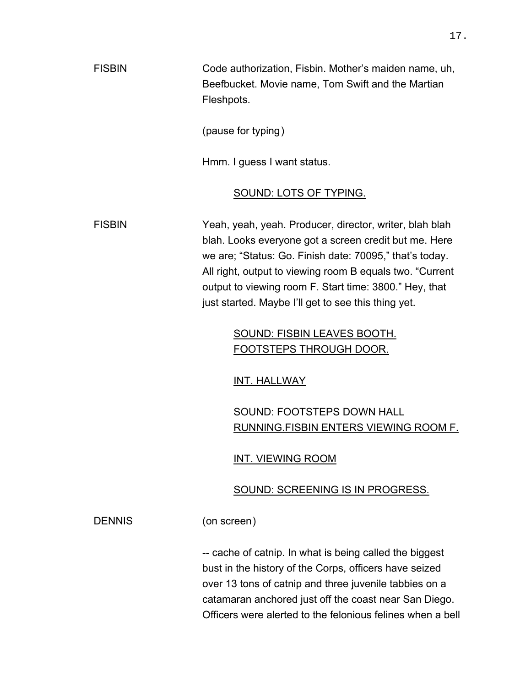FISBIN Code authorization, Fisbin. Mother's maiden name, uh, Beefbucket. Movie name, Tom Swift and the Martian Fleshpots.

(pause for typing)

Hmm. I guess I want status.

### SOUND: LOTS OF TYPING.

FISBIN Yeah, yeah, yeah. Producer, director, writer, blah blah blah. Looks everyone got a screen credit but me. Here we are; "Status: Go. Finish date: 70095," that's today. All right, output to viewing room B equals two. "Current output to viewing room F. Start time: 3800." Hey, that just started. Maybe I'll get to see this thing yet.

## SOUND: FISBIN LEAVES BOOTH. FOOTSTEPS THROUGH DOOR.

INT. HALLWAY

# SOUND: FOOTSTEPS DOWN HALL RUNNING.FISBIN ENTERS VIEWING ROOM F.

INT. VIEWING ROOM

## SOUND: SCREENING IS IN PROGRESS.

DENNIS (on screen)

-- cache of catnip. In what is being called the biggest bust in the history of the Corps, officers have seized over 13 tons of catnip and three juvenile tabbies on a catamaran anchored just off the coast near San Diego. Officers were alerted to the felonious felines when a bell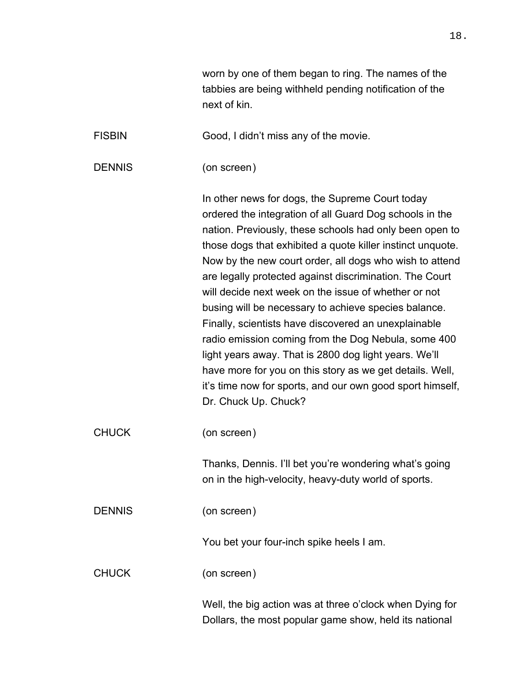| worn by one of them began to ring. The names of the    |
|--------------------------------------------------------|
| tabbies are being withheld pending notification of the |
| next of kin.                                           |

FISBIN Good, I didn't miss any of the movie.

DENNIS (on screen)

In other news for dogs, the Supreme Court today ordered the integration of all Guard Dog schools in the nation. Previously, these schools had only been open to those dogs that exhibited a quote killer instinct unquote. Now by the new court order, all dogs who wish to attend are legally protected against discrimination. The Court will decide next week on the issue of whether or not busing will be necessary to achieve species balance. Finally, scientists have discovered an unexplainable radio emission coming from the Dog Nebula, some 400 light years away. That is 2800 dog light years. We'll have more for you on this story as we get details. Well, it's time now for sports, and our own good sport himself, Dr. Chuck Up. Chuck?

CHUCK (on screen)

Thanks, Dennis. I'll bet you're wondering what's going on in the high-velocity, heavy-duty world of sports.

DENNIS (on screen)

You bet your four-inch spike heels I am.

CHUCK (on screen)

Well, the big action was at three o'clock when Dying for Dollars, the most popular game show, held its national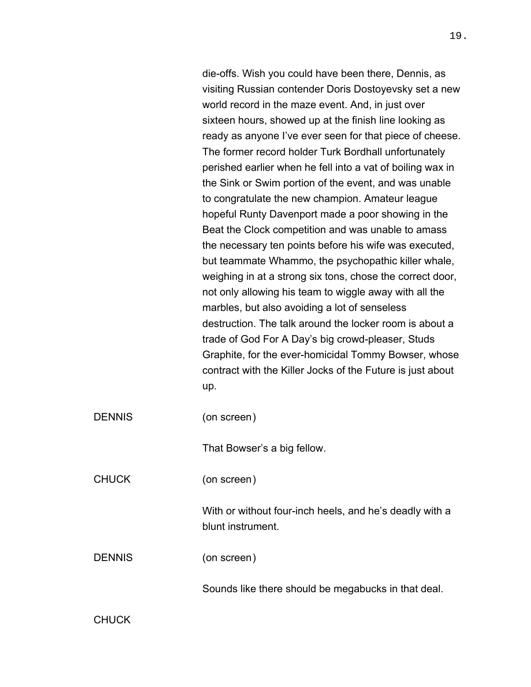die-offs. Wish you could have been there, Dennis, as visiting Russian contender Doris Dostoyevsky set a new world record in the maze event. And, in just over sixteen hours, showed up at the finish line looking as ready as anyone I've ever seen for that piece of cheese. The former record holder Turk Bordhall unfortunately perished earlier when he fell into a vat of boiling wax in the Sink or Swim portion of the event, and was unable to congratulate the new champion. Amateur league hopeful Runty Davenport made a poor showing in the Beat the Clock competition and was unable to amass the necessary ten points before his wife was executed, but teammate Whammo, the psychopathic killer whale, weighing in at a strong six tons, chose the correct door, not only allowing his team to wiggle away with all the marbles, but also avoiding a lot of senseless destruction. The talk around the locker room is about a trade of God For A Day's big crowd-pleaser, Studs Graphite, for the ever-homicidal Tommy Bowser, whose contract with the Killer Jocks of the Future is just about up.

DENNIS (on screen)

That Bowser's a big fellow.

CHUCK (on screen)

With or without four-inch heels, and he's deadly with a blunt instrument.

DENNIS (on screen)

Sounds like there should be megabucks in that deal.

**CHUCK**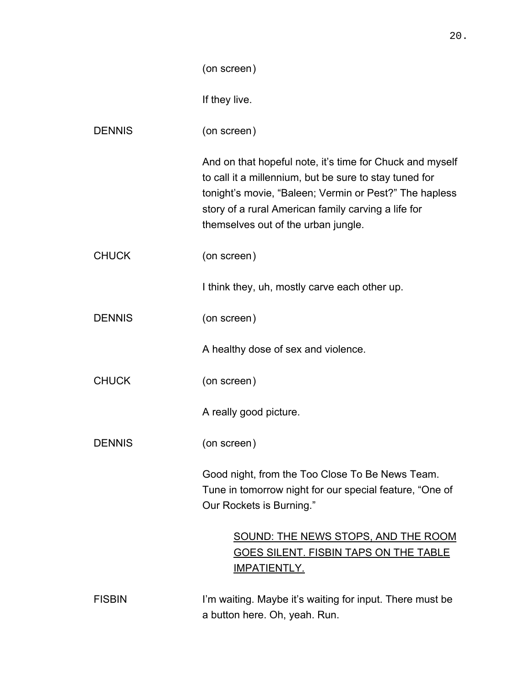|               | (on screen)                                                                                                                                                                                                                                                                |
|---------------|----------------------------------------------------------------------------------------------------------------------------------------------------------------------------------------------------------------------------------------------------------------------------|
|               | If they live.                                                                                                                                                                                                                                                              |
| <b>DENNIS</b> | (on screen)                                                                                                                                                                                                                                                                |
|               | And on that hopeful note, it's time for Chuck and myself<br>to call it a millennium, but be sure to stay tuned for<br>tonight's movie, "Baleen; Vermin or Pest?" The hapless<br>story of a rural American family carving a life for<br>themselves out of the urban jungle. |
| <b>CHUCK</b>  | (on screen)                                                                                                                                                                                                                                                                |
|               | I think they, uh, mostly carve each other up.                                                                                                                                                                                                                              |
| <b>DENNIS</b> | (on screen)                                                                                                                                                                                                                                                                |
|               | A healthy dose of sex and violence.                                                                                                                                                                                                                                        |
| <b>CHUCK</b>  | (on screen)                                                                                                                                                                                                                                                                |
|               | A really good picture.                                                                                                                                                                                                                                                     |
| <b>DENNIS</b> | (on screen)                                                                                                                                                                                                                                                                |
|               | Good night, from the Too Close To Be News Team.<br>Tune in tomorrow night for our special feature, "One of<br>Our Rockets is Burning."                                                                                                                                     |
|               | SOUND: THE NEWS STOPS, AND THE ROOM<br>GOES SILENT. FISBIN TAPS ON THE TABLE<br><u>IMPATIENTLY.</u>                                                                                                                                                                        |
| <b>FISBIN</b> | I'm waiting. Maybe it's waiting for input. There must be                                                                                                                                                                                                                   |

ISBIN **I'm waiting. Maybe it's waiting for input**. There must be a button here. Oh, yeah. Run.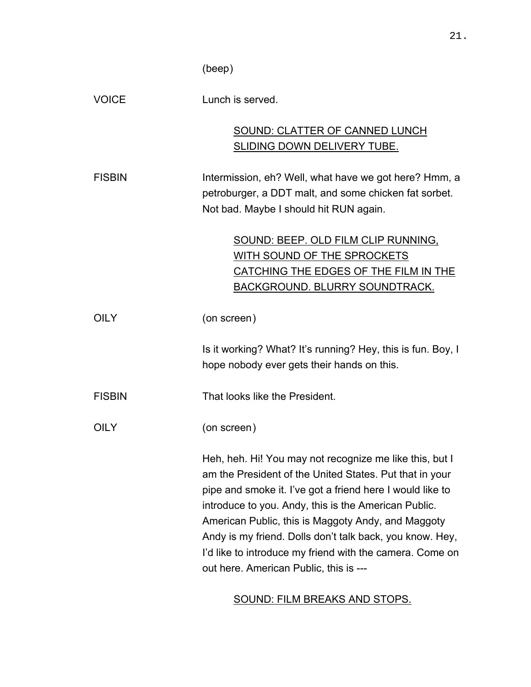(beep)

| <b>VOICE</b>  | Lunch is served.                                                                                                                                                                                                                                                                                                                                          |
|---------------|-----------------------------------------------------------------------------------------------------------------------------------------------------------------------------------------------------------------------------------------------------------------------------------------------------------------------------------------------------------|
|               | SOUND: CLATTER OF CANNED LUNCH                                                                                                                                                                                                                                                                                                                            |
|               | SLIDING DOWN DELIVERY TUBE.                                                                                                                                                                                                                                                                                                                               |
| <b>FISBIN</b> | Intermission, eh? Well, what have we got here? Hmm, a                                                                                                                                                                                                                                                                                                     |
|               | petroburger, a DDT malt, and some chicken fat sorbet.                                                                                                                                                                                                                                                                                                     |
|               | Not bad. Maybe I should hit RUN again.                                                                                                                                                                                                                                                                                                                    |
|               | SOUND: BEEP. OLD FILM CLIP RUNNING,                                                                                                                                                                                                                                                                                                                       |
|               | WITH SOUND OF THE SPROCKETS                                                                                                                                                                                                                                                                                                                               |
|               | CATCHING THE EDGES OF THE FILM IN THE                                                                                                                                                                                                                                                                                                                     |
|               | BACKGROUND. BLURRY SOUNDTRACK.                                                                                                                                                                                                                                                                                                                            |
| <b>OILY</b>   | (on screen)                                                                                                                                                                                                                                                                                                                                               |
|               | Is it working? What? It's running? Hey, this is fun. Boy, I                                                                                                                                                                                                                                                                                               |
|               | hope nobody ever gets their hands on this.                                                                                                                                                                                                                                                                                                                |
| <b>FISBIN</b> | That looks like the President.                                                                                                                                                                                                                                                                                                                            |
| <b>OILY</b>   | (on screen)                                                                                                                                                                                                                                                                                                                                               |
|               | Heh, heh. Hi! You may not recognize me like this, but I<br>am the President of the United States. Put that in your<br>pipe and smoke it. I've got a friend here I would like to<br>introduce to you. Andy, this is the American Public.<br>American Public, this is Maggoty Andy, and Maggoty<br>Andy is my friend. Dolls don't talk back, you know. Hey, |
|               | I'd like to introduce my friend with the camera. Come on<br>out here. American Public, this is ---                                                                                                                                                                                                                                                        |

# SOUND: FILM BREAKS AND STOPS.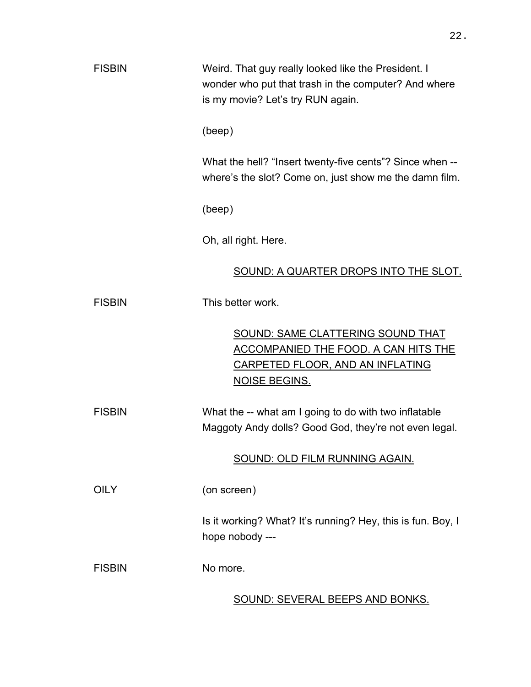| <b>FISBIN</b> | Weird. That guy really looked like the President. I<br>wonder who put that trash in the computer? And where<br>is my movie? Let's try RUN again.           |
|---------------|------------------------------------------------------------------------------------------------------------------------------------------------------------|
|               | (beep)                                                                                                                                                     |
|               | What the hell? "Insert twenty-five cents"? Since when --<br>where's the slot? Come on, just show me the damn film.                                         |
|               | (beep)                                                                                                                                                     |
|               | Oh, all right. Here.                                                                                                                                       |
|               | SOUND: A QUARTER DROPS INTO THE SLOT.                                                                                                                      |
| <b>FISBIN</b> | This better work.                                                                                                                                          |
|               | <b>SOUND: SAME CLATTERING SOUND THAT</b><br><u>ACCOMPANIED THE FOOD. A CAN HITS THE</u><br><u>CARPETED FLOOR, AND AN INFLATING</u><br><b>NOISE BEGINS.</b> |
| <b>FISBIN</b> | What the -- what am I going to do with two inflatable<br>Maggoty Andy dolls? Good God, they're not even legal.                                             |
|               | SOUND: OLD FILM RUNNING AGAIN.                                                                                                                             |
| <b>OILY</b>   | (on screen)                                                                                                                                                |
|               | Is it working? What? It's running? Hey, this is fun. Boy, I<br>hope nobody ---                                                                             |
| <b>FISBIN</b> | No more.                                                                                                                                                   |
|               | SOUND: SEVERAL BEEPS AND BONKS.                                                                                                                            |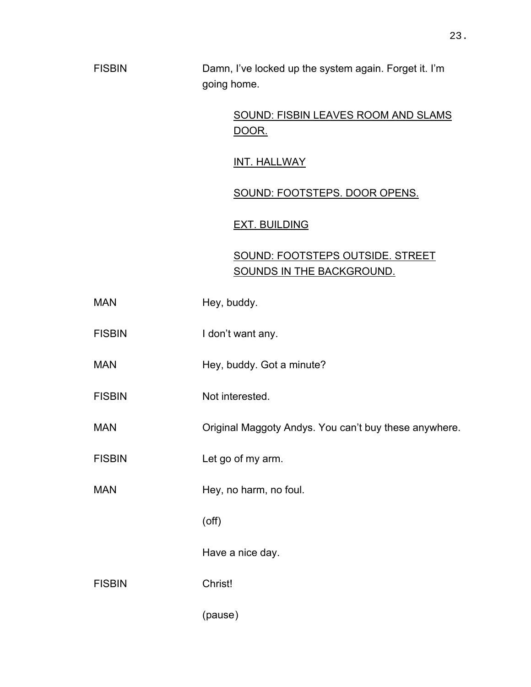# SOUND: FISBIN LEAVES ROOM AND SLAMS DOOR.

INT. HALLWAY

## SOUND: FOOTSTEPS. DOOR OPENS.

## EXT. BUILDING

# SOUND: FOOTSTEPS OUTSIDE. STREET SOUNDS IN THE BACKGROUND.

| <b>MAN</b>    | Hey, buddy.                                           |
|---------------|-------------------------------------------------------|
| <b>FISBIN</b> | I don't want any.                                     |
| <b>MAN</b>    | Hey, buddy. Got a minute?                             |
| <b>FISBIN</b> | Not interested.                                       |
| <b>MAN</b>    | Original Maggoty Andys. You can't buy these anywhere. |
| <b>FISBIN</b> | Let go of my arm.                                     |
| <b>MAN</b>    | Hey, no harm, no foul.                                |
|               | $($ off $)$                                           |
|               | Have a nice day.                                      |
| <b>FISBIN</b> | Christ!                                               |
|               | (pause)                                               |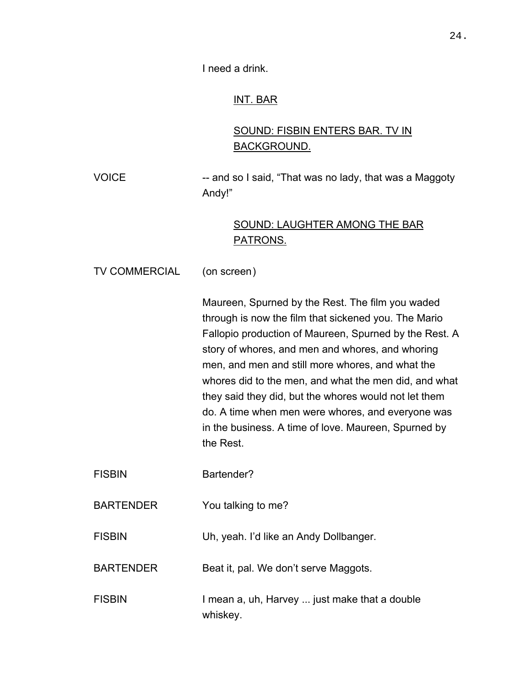I need a drink.

## INT. BAR

# SOUND: FISBIN ENTERS BAR. TV IN BACKGROUND.

VOICE -- and so I said, "That was no lady, that was a Maggoty Andy!"

## SOUND: LAUGHTER AMONG THE BAR PATRONS.

TV COMMERCIAL (on screen)

Maureen, Spurned by the Rest. The film you waded through is now the film that sickened you. The Mario Fallopio production of Maureen, Spurned by the Rest. A story of whores, and men and whores, and whoring men, and men and still more whores, and what the whores did to the men, and what the men did, and what they said they did, but the whores would not let them do. A time when men were whores, and everyone was in the business. A time of love. Maureen, Spurned by the Rest.

FISBIN Bartender?

BARTENDER You talking to me?

FISBIN Uh, yeah. I'd like an Andy Dollbanger.

BARTENDER Beat it, pal. We don't serve Maggots.

FISBIN I mean a, uh, Harvey ... just make that a double whiskey.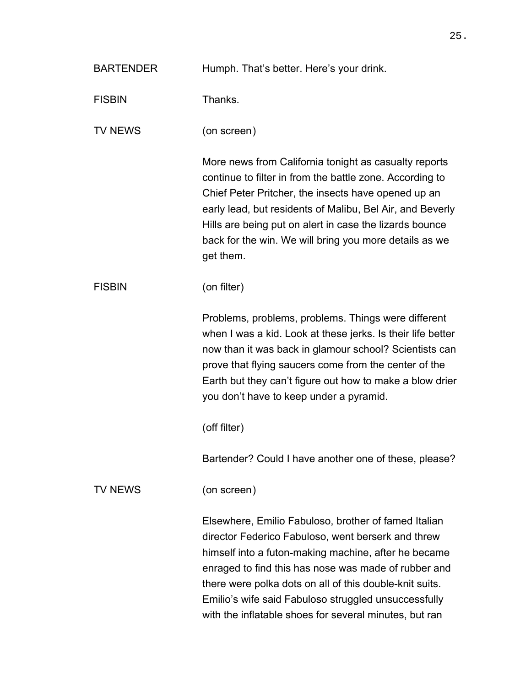| <b>BARTENDER</b> | Humph. That's better. Here's your drink.                                                                                                                                                                                                                                                                                                                                                                |
|------------------|---------------------------------------------------------------------------------------------------------------------------------------------------------------------------------------------------------------------------------------------------------------------------------------------------------------------------------------------------------------------------------------------------------|
| <b>FISBIN</b>    | Thanks.                                                                                                                                                                                                                                                                                                                                                                                                 |
| <b>TV NEWS</b>   | (on screen)                                                                                                                                                                                                                                                                                                                                                                                             |
|                  | More news from California tonight as casualty reports<br>continue to filter in from the battle zone. According to<br>Chief Peter Pritcher, the insects have opened up an<br>early lead, but residents of Malibu, Bel Air, and Beverly<br>Hills are being put on alert in case the lizards bounce<br>back for the win. We will bring you more details as we<br>get them.                                 |
| <b>FISBIN</b>    | (on filter)                                                                                                                                                                                                                                                                                                                                                                                             |
|                  | Problems, problems, problems. Things were different<br>when I was a kid. Look at these jerks. Is their life better<br>now than it was back in glamour school? Scientists can<br>prove that flying saucers come from the center of the<br>Earth but they can't figure out how to make a blow drier<br>you don't have to keep under a pyramid.                                                            |
|                  | (off filter)                                                                                                                                                                                                                                                                                                                                                                                            |
|                  | Bartender? Could I have another one of these, please?                                                                                                                                                                                                                                                                                                                                                   |
| <b>TV NEWS</b>   | (on screen)                                                                                                                                                                                                                                                                                                                                                                                             |
|                  | Elsewhere, Emilio Fabuloso, brother of famed Italian<br>director Federico Fabuloso, went berserk and threw<br>himself into a futon-making machine, after he became<br>enraged to find this has nose was made of rubber and<br>there were polka dots on all of this double-knit suits.<br>Emilio's wife said Fabuloso struggled unsuccessfully<br>with the inflatable shoes for several minutes, but ran |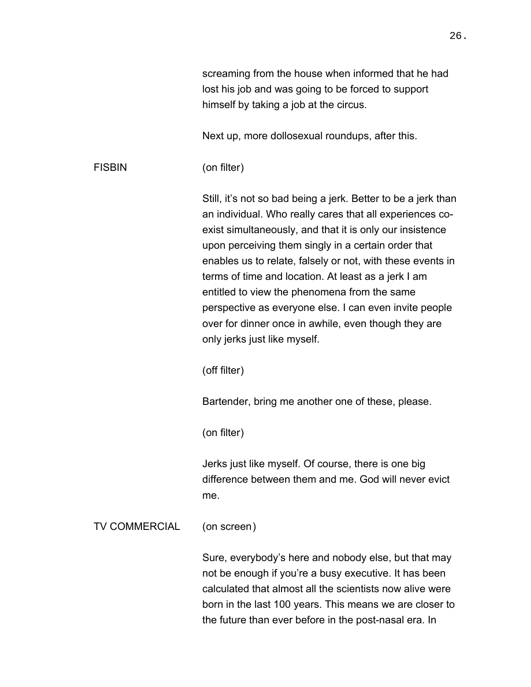screaming from the house when informed that he had lost his job and was going to be forced to support himself by taking a job at the circus.

Next up, more dollosexual roundups, after this.

FISBIN (on filter)

Still, it's not so bad being a jerk. Better to be a jerk than an individual. Who really cares that all experiences coexist simultaneously, and that it is only our insistence upon perceiving them singly in a certain order that enables us to relate, falsely or not, with these events in terms of time and location. At least as a jerk I am entitled to view the phenomena from the same perspective as everyone else. I can even invite people over for dinner once in awhile, even though they are only jerks just like myself.

(off filter)

Bartender, bring me another one of these, please.

(on filter)

Jerks just like myself. Of course, there is one big difference between them and me. God will never evict me.

TV COMMERCIAL (on screen)

Sure, everybody's here and nobody else, but that may not be enough if you're a busy executive. It has been calculated that almost all the scientists now alive were born in the last 100 years. This means we are closer to the future than ever before in the post-nasal era. In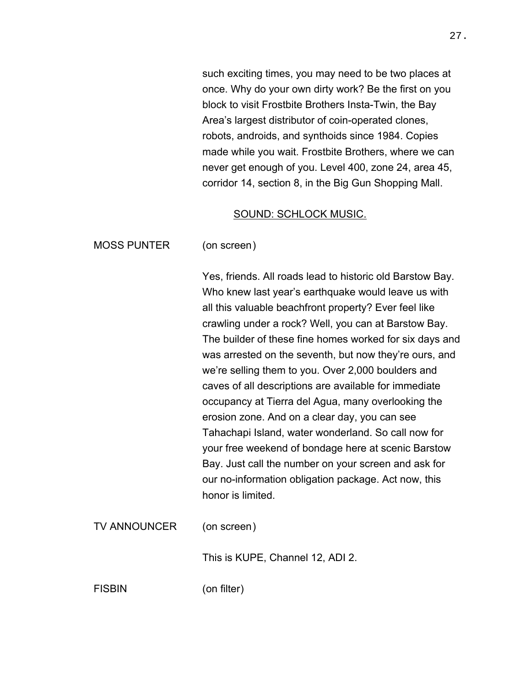such exciting times, you may need to be two places at once. Why do your own dirty work? Be the first on you block to visit Frostbite Brothers Insta-Twin, the Bay Area's largest distributor of coin-operated clones, robots, androids, and synthoids since 1984. Copies made while you wait. Frostbite Brothers, where we can never get enough of you. Level 400, zone 24, area 45, corridor 14, section 8, in the Big Gun Shopping Mall.

#### SOUND: SCHLOCK MUSIC.

MOSS PUNTER (on screen)

Yes, friends. All roads lead to historic old Barstow Bay. Who knew last year's earthquake would leave us with all this valuable beachfront property? Ever feel like crawling under a rock? Well, you can at Barstow Bay. The builder of these fine homes worked for six days and was arrested on the seventh, but now they're ours, and we're selling them to you. Over 2,000 boulders and caves of all descriptions are available for immediate occupancy at Tierra del Agua, many overlooking the erosion zone. And on a clear day, you can see Tahachapi Island, water wonderland. So call now for your free weekend of bondage here at scenic Barstow Bay. Just call the number on your screen and ask for our no-information obligation package. Act now, this honor is limited.

TV ANNOUNCER (on screen)

This is KUPE, Channel 12, ADI 2.

FISBIN (on filter)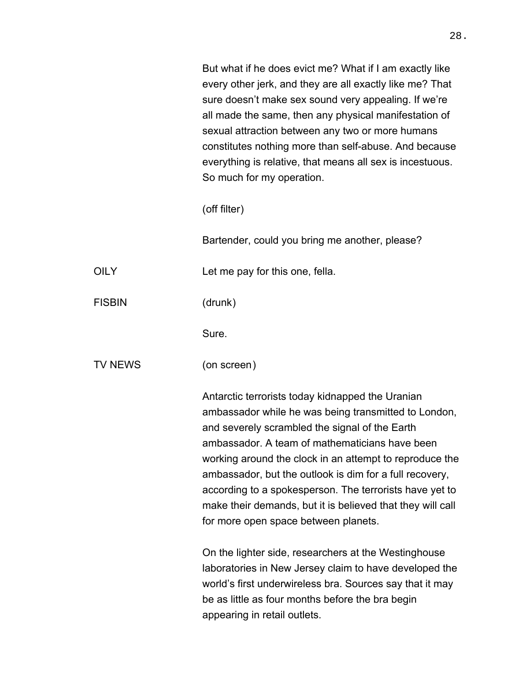But what if he does evict me? What if I am exactly like every other jerk, and they are all exactly like me? That sure doesn't make sex sound very appealing. If we're all made the same, then any physical manifestation of sexual attraction between any two or more humans constitutes nothing more than self-abuse. And because everything is relative, that means all sex is incestuous. So much for my operation.

(off filter)

Bartender, could you bring me another, please?

OILY Let me pay for this one, fella.

FISBIN (drunk)

Sure.

TV NEWS (on screen)

Antarctic terrorists today kidnapped the Uranian ambassador while he was being transmitted to London, and severely scrambled the signal of the Earth ambassador. A team of mathematicians have been working around the clock in an attempt to reproduce the ambassador, but the outlook is dim for a full recovery, according to a spokesperson. The terrorists have yet to make their demands, but it is believed that they will call for more open space between planets.

On the lighter side, researchers at the Westinghouse laboratories in New Jersey claim to have developed the world's first underwireless bra. Sources say that it may be as little as four months before the bra begin appearing in retail outlets.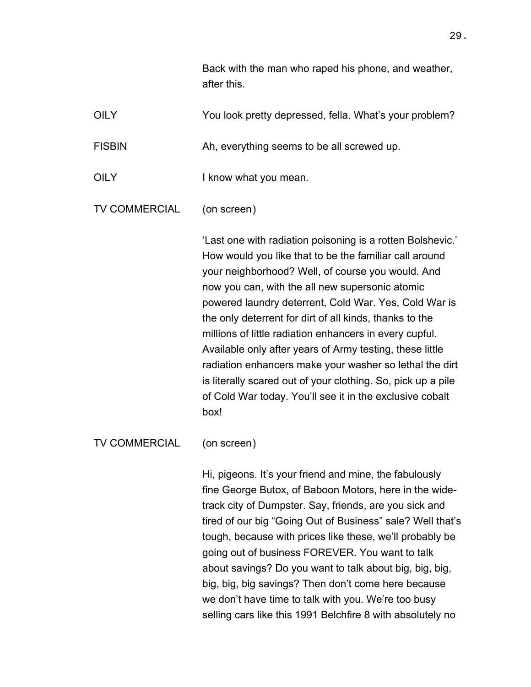Back with the man who raped his phone, and weather, after this.

OILY The You look pretty depressed, fella. What's your problem? FISBIN Ah, everything seems to be all screwed up. OILY I know what you mean. TV COMMERCIAL (on screen)

> 'Last one with radiation poisoning is a rotten Bolshevic.' How would you like that to be the familiar call around your neighborhood? Well, of course you would. And now you can, with the all new supersonic atomic powered laundry deterrent, Cold War. Yes, Cold War is the only deterrent for dirt of all kinds, thanks to the millions of little radiation enhancers in every cupful. Available only after years of Army testing, these little radiation enhancers make your washer so lethal the dirt is literally scared out of your clothing. So, pick up a pile of Cold War today. You'll see it in the exclusive cobalt box!

TV COMMERCIAL (on screen)

Hi, pigeons. It's your friend and mine, the fabulously fine George Butox, of Baboon Motors, here in the widetrack city of Dumpster. Say, friends, are you sick and tired of our big "Going Out of Business" sale? Well that's tough, because with prices like these, we'll probably be going out of business FOREVER. You want to talk about savings? Do you want to talk about big, big, big, big, big, big savings? Then don't come here because we don't have time to talk with you. We're too busy selling cars like this 1991 Belchfire 8 with absolutely no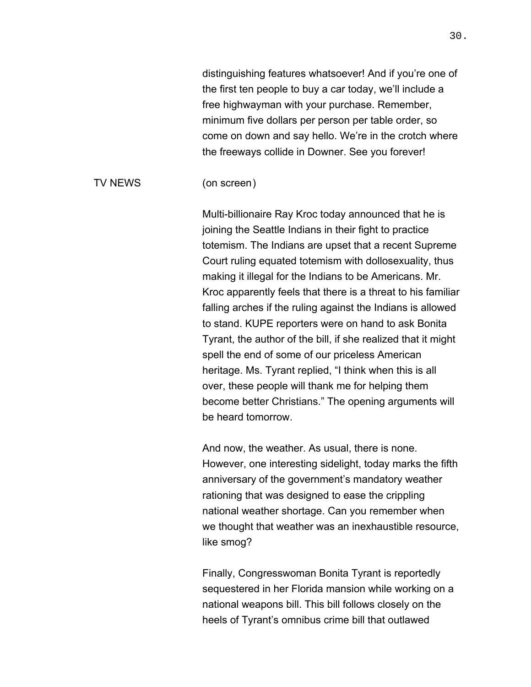distinguishing features whatsoever! And if you're one of the first ten people to buy a car today, we'll include a free highwayman with your purchase. Remember, minimum five dollars per person per table order, so come on down and say hello. We're in the crotch where the freeways collide in Downer. See you forever!

#### TV NEWS (on screen)

Multi-billionaire Ray Kroc today announced that he is joining the Seattle Indians in their fight to practice totemism. The Indians are upset that a recent Supreme Court ruling equated totemism with dollosexuality, thus making it illegal for the Indians to be Americans. Mr. Kroc apparently feels that there is a threat to his familiar falling arches if the ruling against the Indians is allowed to stand. KUPE reporters were on hand to ask Bonita Tyrant, the author of the bill, if she realized that it might spell the end of some of our priceless American heritage. Ms. Tyrant replied, "I think when this is all over, these people will thank me for helping them become better Christians." The opening arguments will be heard tomorrow.

And now, the weather. As usual, there is none. However, one interesting sidelight, today marks the fifth anniversary of the government's mandatory weather rationing that was designed to ease the crippling national weather shortage. Can you remember when we thought that weather was an inexhaustible resource, like smog?

Finally, Congresswoman Bonita Tyrant is reportedly sequestered in her Florida mansion while working on a national weapons bill. This bill follows closely on the heels of Tyrant's omnibus crime bill that outlawed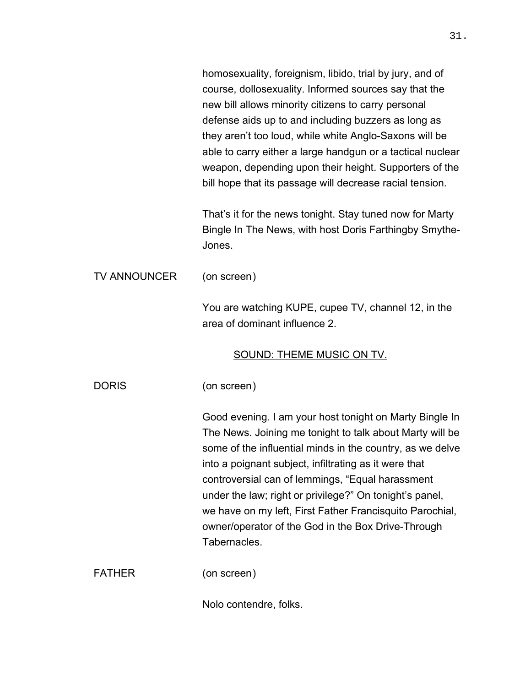homosexuality, foreignism, libido, trial by jury, and of course, dollosexuality. Informed sources say that the new bill allows minority citizens to carry personal defense aids up to and including buzzers as long as they aren't too loud, while white Anglo-Saxons will be able to carry either a large handgun or a tactical nuclear weapon, depending upon their height. Supporters of the bill hope that its passage will decrease racial tension. That's it for the news tonight. Stay tuned now for Marty Bingle In The News, with host Doris Farthingby Smythe-Jones. TV ANNOUNCER (on screen) You are watching KUPE, cupee TV, channel 12, in the area of dominant influence 2. SOUND: THEME MUSIC ON TV. DORIS (on screen) Good evening. I am your host tonight on Marty Bingle In The News. Joining me tonight to talk about Marty will be some of the influential minds in the country, as we delve into a poignant subject, infiltrating as it were that controversial can of lemmings, "Equal harassment under the law; right or privilege?" On tonight's panel, we have on my left, First Father Francisquito Parochial, owner/operator of the God in the Box Drive-Through Tabernacles. FATHER (on screen) Nolo contendre, folks.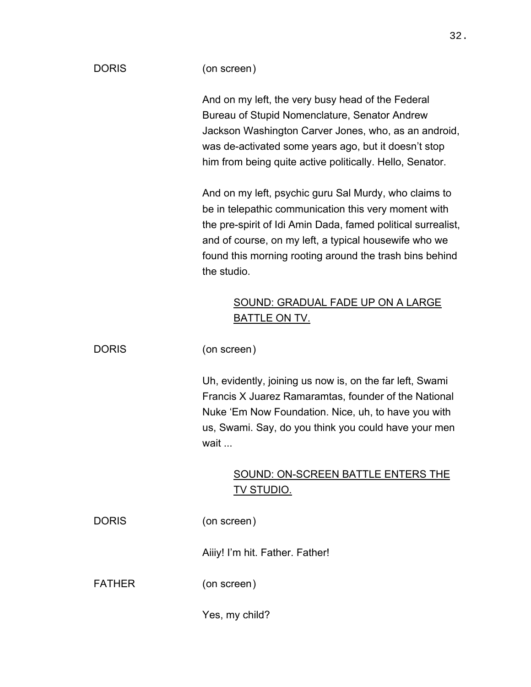| <b>DORIS</b>  | (on screen)                                                                                                                                                                                                                                                                                                      |
|---------------|------------------------------------------------------------------------------------------------------------------------------------------------------------------------------------------------------------------------------------------------------------------------------------------------------------------|
|               | And on my left, the very busy head of the Federal<br>Bureau of Stupid Nomenclature, Senator Andrew<br>Jackson Washington Carver Jones, who, as an android,<br>was de-activated some years ago, but it doesn't stop<br>him from being quite active politically. Hello, Senator.                                   |
|               | And on my left, psychic guru Sal Murdy, who claims to<br>be in telepathic communication this very moment with<br>the pre-spirit of Idi Amin Dada, famed political surrealist,<br>and of course, on my left, a typical housewife who we<br>found this morning rooting around the trash bins behind<br>the studio. |
|               | <b>SOUND: GRADUAL FADE UP ON A LARGE</b><br><u>BATTLE ON TV.</u>                                                                                                                                                                                                                                                 |
| <b>DORIS</b>  | (on screen)                                                                                                                                                                                                                                                                                                      |
|               | Uh, evidently, joining us now is, on the far left, Swami<br>Francis X Juarez Ramaramtas, founder of the National<br>Nuke 'Em Now Foundation. Nice, uh, to have you with<br>us, Swami. Say, do you think you could have your men<br>wait                                                                          |
|               | <b>SOUND: ON-SCREEN BATTLE ENTERS THE</b><br><u>TV STUDIO.</u>                                                                                                                                                                                                                                                   |
| <b>DORIS</b>  | (on screen)                                                                                                                                                                                                                                                                                                      |
|               | Aiiiy! I'm hit. Father. Father!                                                                                                                                                                                                                                                                                  |
| <b>FATHER</b> | (on screen)                                                                                                                                                                                                                                                                                                      |

Yes, my child?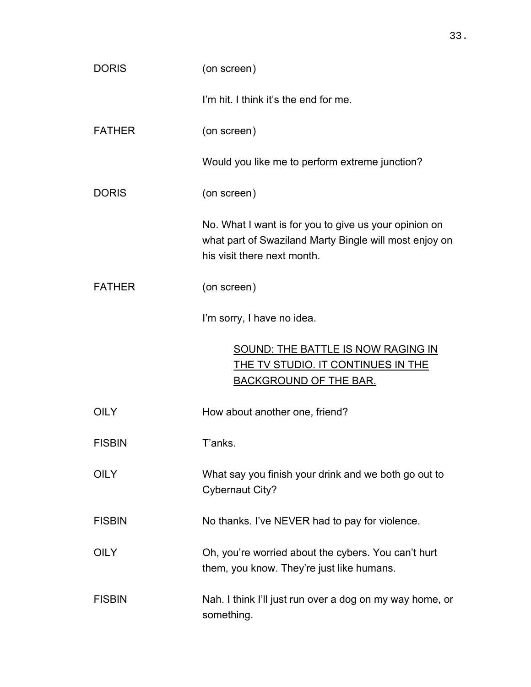| <b>DORIS</b>  | (on screen)                                                                                                                                    |
|---------------|------------------------------------------------------------------------------------------------------------------------------------------------|
|               | I'm hit. I think it's the end for me.                                                                                                          |
| <b>FATHER</b> | (on screen)                                                                                                                                    |
|               | Would you like me to perform extreme junction?                                                                                                 |
| <b>DORIS</b>  | (on screen)                                                                                                                                    |
|               | No. What I want is for you to give us your opinion on<br>what part of Swaziland Marty Bingle will most enjoy on<br>his visit there next month. |
| <b>FATHER</b> | (on screen)                                                                                                                                    |
|               | I'm sorry, I have no idea.                                                                                                                     |
|               | <b>SOUND: THE BATTLE IS NOW RAGING IN</b><br><u>THE TV STUDIO. IT CONTINUES IN THE</u><br><b>BACKGROUND OF THE BAR.</b>                        |
| <b>OILY</b>   | How about another one, friend?                                                                                                                 |
| <b>FISBIN</b> | T'anks                                                                                                                                         |
| <b>OILY</b>   | What say you finish your drink and we both go out to<br><b>Cybernaut City?</b>                                                                 |
| <b>FISBIN</b> | No thanks. I've NEVER had to pay for violence.                                                                                                 |
| <b>OILY</b>   | Oh, you're worried about the cybers. You can't hurt<br>them, you know. They're just like humans.                                               |
| <b>FISBIN</b> | Nah. I think I'll just run over a dog on my way home, or<br>something.                                                                         |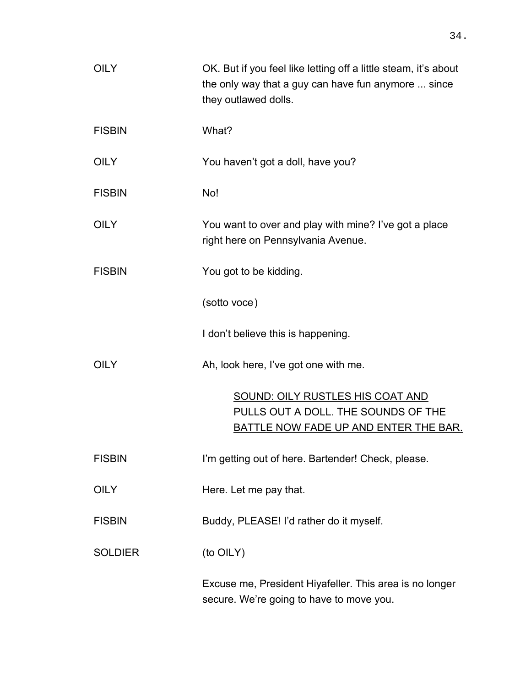| <b>OILY</b>    | OK. But if you feel like letting off a little steam, it's about<br>the only way that a guy can have fun anymore  since<br>they outlawed dolls. |
|----------------|------------------------------------------------------------------------------------------------------------------------------------------------|
| <b>FISBIN</b>  | What?                                                                                                                                          |
| <b>OILY</b>    | You haven't got a doll, have you?                                                                                                              |
| <b>FISBIN</b>  | No!                                                                                                                                            |
| <b>OILY</b>    | You want to over and play with mine? I've got a place<br>right here on Pennsylvania Avenue.                                                    |
| <b>FISBIN</b>  | You got to be kidding.                                                                                                                         |
|                | (sotto voce)                                                                                                                                   |
|                | I don't believe this is happening.                                                                                                             |
| <b>OILY</b>    | Ah, look here, I've got one with me.                                                                                                           |
|                | SOUND: OILY RUSTLES HIS COAT AND<br>PULLS OUT A DOLL. THE SOUNDS OF THE<br>BATTLE NOW FADE UP AND ENTER THE BAR.                               |
| <b>FISBIN</b>  | I'm getting out of here. Bartender! Check, please.                                                                                             |
| <b>OILY</b>    | Here. Let me pay that.                                                                                                                         |
| <b>FISBIN</b>  | Buddy, PLEASE! I'd rather do it myself.                                                                                                        |
| <b>SOLDIER</b> | (to OILY)                                                                                                                                      |
|                | Excuse me, President Hiyafeller. This area is no longer<br>secure. We're going to have to move you.                                            |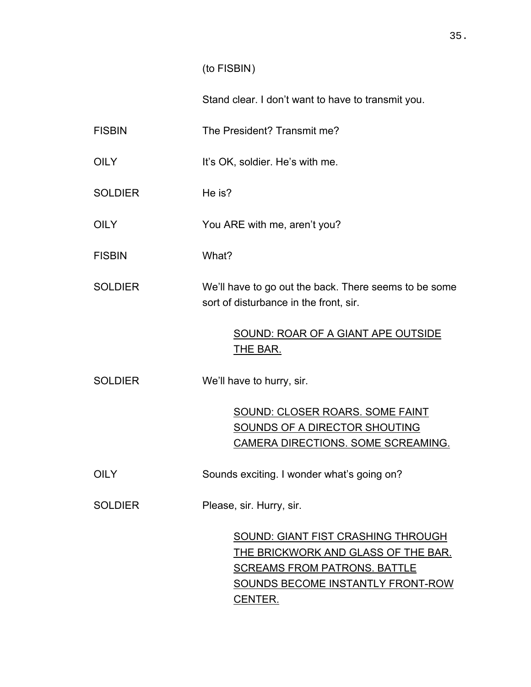### (to FISBIN)

Stand clear. I don't want to have to transmit you.

FISBIN The President? Transmit me?

- OILY It's OK, soldier. He's with me.
- SOLDIER He is?
- OILY You ARE with me, aren't you?
- FISBIN What?
- SOLDIER We'll have to go out the back. There seems to be some sort of disturbance in the front, sir.

## SOUND: ROAR OF A GIANT APE OUTSIDE THE BAR.

SOLDIER We'll have to hurry, sir.

SOUND: CLOSER ROARS. SOME FAINT SOUNDS OF A DIRECTOR SHOUTING CAMERA DIRECTIONS. SOME SCREAMING.

OILY Sounds exciting. I wonder what's going on?

SOLDIER Please, sir. Hurry, sir.

SOUND: GIANT FIST CRASHING THROUGH THE BRICKWORK AND GLASS OF THE BAR. SCREAMS FROM PATRONS. BATTLE SOUNDS BECOME INSTANTLY FRONT-ROW CENTER.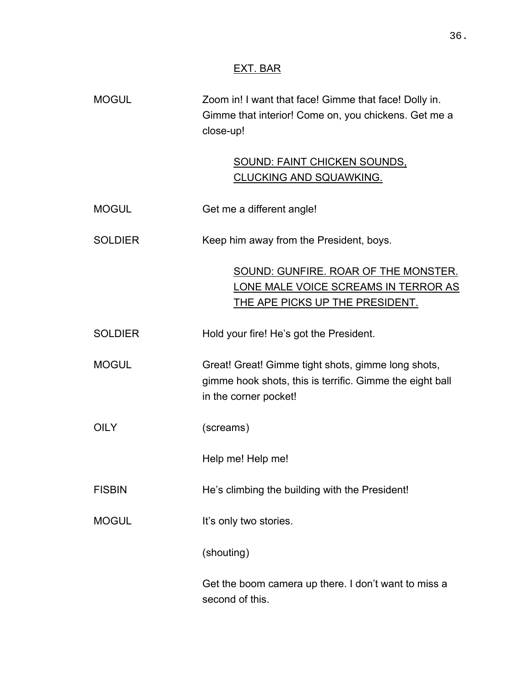## EXT. BAR

| <b>MOGUL</b>   | Zoom in! I want that face! Gimme that face! Dolly in.<br>Gimme that interior! Come on, you chickens. Get me a<br>close-up!              |
|----------------|-----------------------------------------------------------------------------------------------------------------------------------------|
|                | <u>SOUND: FAINT CHICKEN SOUNDS,</u><br><u>CLUCKING AND SQUAWKING.</u>                                                                   |
| <b>MOGUL</b>   | Get me a different angle!                                                                                                               |
| <b>SOLDIER</b> | Keep him away from the President, boys.                                                                                                 |
|                | SOUND: GUNFIRE. ROAR OF THE MONSTER.<br>LONE MALE VOICE SCREAMS IN TERROR AS<br>THE APE PICKS UP THE PRESIDENT.                         |
| <b>SOLDIER</b> | Hold your fire! He's got the President.                                                                                                 |
| <b>MOGUL</b>   | Great! Great! Gimme tight shots, gimme long shots,<br>gimme hook shots, this is terrific. Gimme the eight ball<br>in the corner pocket! |
| <b>OILY</b>    | (screams)                                                                                                                               |
|                | Help me! Help me!                                                                                                                       |
| <b>FISBIN</b>  | He's climbing the building with the President!                                                                                          |
| <b>MOGUL</b>   | It's only two stories.                                                                                                                  |
|                | (shouting)                                                                                                                              |
|                | Get the boom camera up there. I don't want to miss a<br>second of this.                                                                 |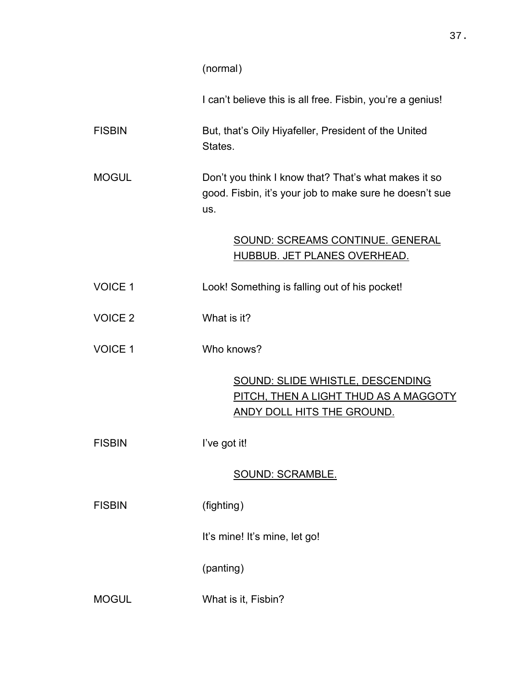### (normal)

I can't believe this is all free. Fisbin, you're a genius!

FISBIN But, that's Oily Hiyafeller, President of the United States.

MOGUL Don't you think I know that? That's what makes it so good. Fisbin, it's your job to make sure he doesn't sue us.

## SOUND: SCREAMS CONTINUE. GENERAL HUBBUB. JET PLANES OVERHEAD.

- VOICE 1 Look! Something is falling out of his pocket!
- VOICE 2 What is it?
- VOICE 1 Who knows?

SOUND: SLIDE WHISTLE, DESCENDING PITCH, THEN A LIGHT THUD AS A MAGGOTY ANDY DOLL HITS THE GROUND.

FISBIN I've got it!

### SOUND: SCRAMBLE.

FISBIN (fighting)

It's mine! It's mine, let go!

(panting)

MOGUL What is it, Fisbin?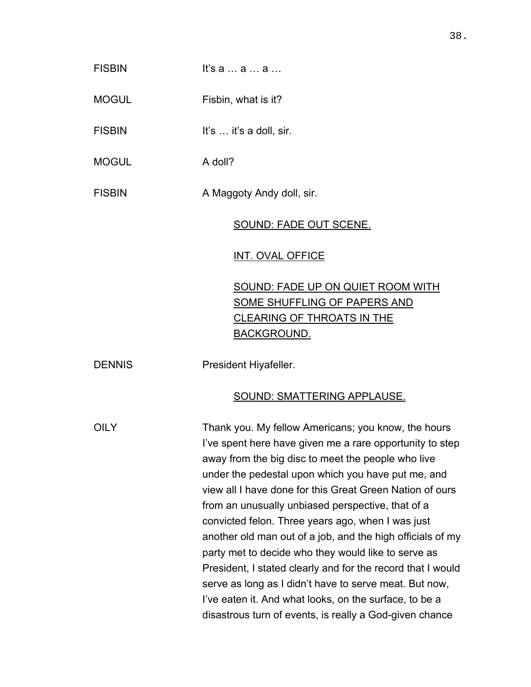# $F$ ISBIN It's a … a … a … MOGUL Fisbin, what is it? FISBIN It's ... it's a doll, sir. MOGUL **A** doll? FISBIN A Maggoty Andy doll, sir. SOUND: FADE OUT SCENE. <u>INT. OVAL OFFICE</u> SOUND: FADE UP ON QUIET ROOM WITH SOME SHUFFLING OF PAPERS AND CLEARING OF THROATS IN THE BACKGROUND. DENNIS President Hiyafeller. SOUND: SMATTERING APPLAUSE. OILY Thank you. My fellow Americans; you know, the hours I've spent here have given me a rare opportunity to step away from the big disc to meet the people who live under the pedestal upon which you have put me, and view all I have done for this Great Green Nation of ours from an unusually unbiased perspective, that of a convicted felon. Three years ago, when I was just another old man out of a job, and the high officials of my party met to decide who they would like to serve as President, I stated clearly and for the record that I would serve as long as I didn't have to serve meat. But now, I've eaten it. And what looks, on the surface, to be a

disastrous turn of events, is really a God-given chance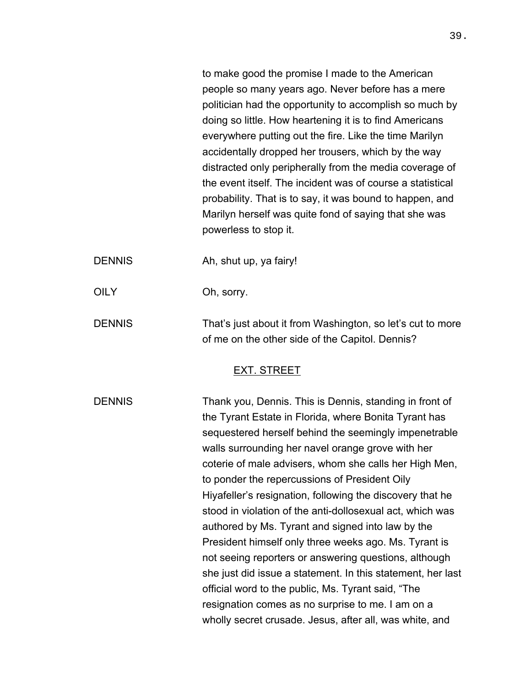to make good the promise I made to the American people so many years ago. Never before has a mere politician had the opportunity to accomplish so much by doing so little. How heartening it is to find Americans everywhere putting out the fire. Like the time Marilyn accidentally dropped her trousers, which by the way distracted only peripherally from the media coverage of the event itself. The incident was of course a statistical probability. That is to say, it was bound to happen, and Marilyn herself was quite fond of saying that she was powerless to stop it.

DENNIS Ah, shut up, ya fairy!

OILY Oh, sorry.

DENNIS That's just about it from Washington, so let's cut to more of me on the other side of the Capitol. Dennis?

### <u>EXT. STREET</u>

DENNIS Thank you, Dennis. This is Dennis, standing in front of the Tyrant Estate in Florida, where Bonita Tyrant has sequestered herself behind the seemingly impenetrable walls surrounding her navel orange grove with her coterie of male advisers, whom she calls her High Men, to ponder the repercussions of President Oily Hiyafeller's resignation, following the discovery that he stood in violation of the anti-dollosexual act, which was authored by Ms. Tyrant and signed into law by the President himself only three weeks ago. Ms. Tyrant is not seeing reporters or answering questions, although she just did issue a statement. In this statement, her last official word to the public, Ms. Tyrant said, "The resignation comes as no surprise to me. I am on a wholly secret crusade. Jesus, after all, was white, and